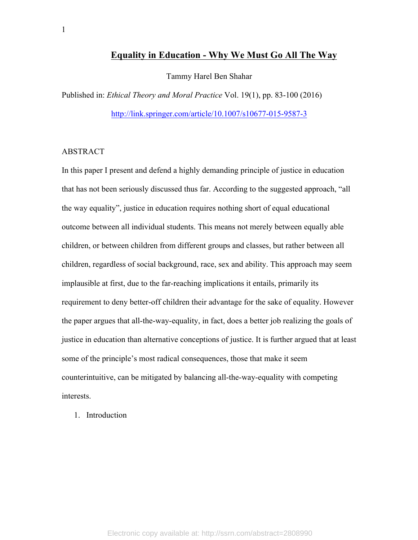# **Equality in Education - Why We Must Go All The Way**

Tammy Harel Ben Shahar

Published in: *Ethical Theory and Moral Practice* Vol. 19(1), pp. 83-100 (2016) http://link.springer.com/article/10.1007/s10677-015-9587-3

## ABSTRACT

In this paper I present and defend a highly demanding principle of justice in education that has not been seriously discussed thus far. According to the suggested approach, "all the way equality", justice in education requires nothing short of equal educational outcome between all individual students. This means not merely between equally able children, or between children from different groups and classes, but rather between all children, regardless of social background, race, sex and ability. This approach may seem implausible at first, due to the far-reaching implications it entails, primarily its requirement to deny better-off children their advantage for the sake of equality. However the paper argues that all-the-way-equality, in fact, does a better job realizing the goals of justice in education than alternative conceptions of justice. It is further argued that at least some of the principle's most radical consequences, those that make it seem counterintuitive, can be mitigated by balancing all-the-way-equality with competing interests.

1. Introduction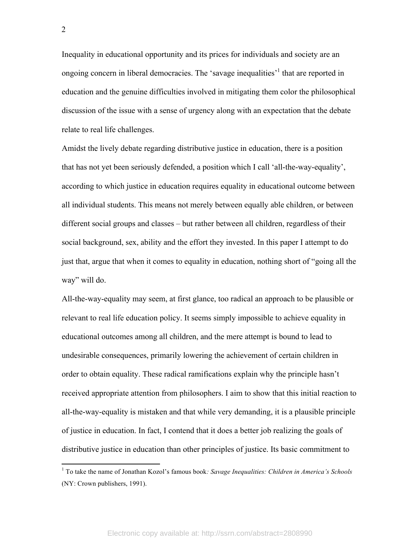Inequality in educational opportunity and its prices for individuals and society are an ongoing concern in liberal democracies. The 'savage inequalities' that are reported in education and the genuine difficulties involved in mitigating them color the philosophical discussion of the issue with a sense of urgency along with an expectation that the debate relate to real life challenges.

Amidst the lively debate regarding distributive justice in education, there is a position that has not yet been seriously defended, a position which I call 'all-the-way-equality', according to which justice in education requires equality in educational outcome between all individual students. This means not merely between equally able children, or between different social groups and classes – but rather between all children, regardless of their social background, sex, ability and the effort they invested. In this paper I attempt to do just that, argue that when it comes to equality in education, nothing short of "going all the way" will do.

All-the-way-equality may seem, at first glance, too radical an approach to be plausible or relevant to real life education policy. It seems simply impossible to achieve equality in educational outcomes among all children, and the mere attempt is bound to lead to undesirable consequences, primarily lowering the achievement of certain children in order to obtain equality. These radical ramifications explain why the principle hasn't received appropriate attention from philosophers. I aim to show that this initial reaction to all-the-way-equality is mistaken and that while very demanding, it is a plausible principle of justice in education. In fact, I contend that it does a better job realizing the goals of distributive justice in education than other principles of justice. Its basic commitment to

<u> 1989 - Johann Stein, fransk politik (d. 1989)</u>

Electronic copy available at: http://ssrn.com/abstract=2808990

<sup>1</sup> To take the name of Jonathan Kozol's famous book*: Savage Inequalities: Children in America's Schools* (NY: Crown publishers, 1991).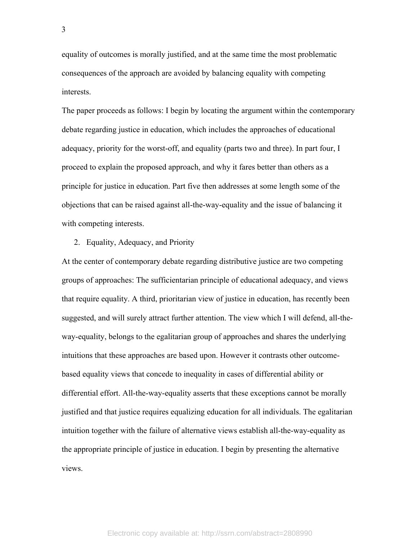equality of outcomes is morally justified, and at the same time the most problematic consequences of the approach are avoided by balancing equality with competing interests.

The paper proceeds as follows: I begin by locating the argument within the contemporary debate regarding justice in education, which includes the approaches of educational adequacy, priority for the worst-off, and equality (parts two and three). In part four, I proceed to explain the proposed approach, and why it fares better than others as a principle for justice in education. Part five then addresses at some length some of the objections that can be raised against all-the-way-equality and the issue of balancing it with competing interests.

### 2. Equality, Adequacy, and Priority

At the center of contemporary debate regarding distributive justice are two competing groups of approaches: The sufficientarian principle of educational adequacy, and views that require equality. A third, prioritarian view of justice in education, has recently been suggested, and will surely attract further attention. The view which I will defend, all-theway-equality, belongs to the egalitarian group of approaches and shares the underlying intuitions that these approaches are based upon. However it contrasts other outcomebased equality views that concede to inequality in cases of differential ability or differential effort. All-the-way-equality asserts that these exceptions cannot be morally justified and that justice requires equalizing education for all individuals. The egalitarian intuition together with the failure of alternative views establish all-the-way-equality as the appropriate principle of justice in education. I begin by presenting the alternative views.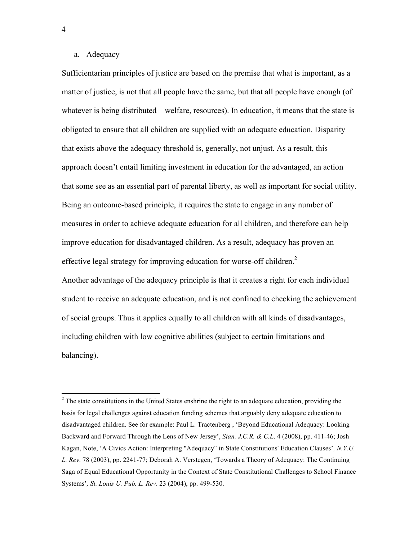# a. Adequacy

<u> 1989 - Johann Stein, fransk politik (d. 1989)</u>

Sufficientarian principles of justice are based on the premise that what is important, as a matter of justice, is not that all people have the same, but that all people have enough (of whatever is being distributed – welfare, resources). In education, it means that the state is obligated to ensure that all children are supplied with an adequate education. Disparity that exists above the adequacy threshold is, generally, not unjust. As a result, this approach doesn't entail limiting investment in education for the advantaged, an action that some see as an essential part of parental liberty, as well as important for social utility. Being an outcome-based principle, it requires the state to engage in any number of measures in order to achieve adequate education for all children, and therefore can help improve education for disadvantaged children. As a result, adequacy has proven an effective legal strategy for improving education for worse-off children.<sup>2</sup> Another advantage of the adequacy principle is that it creates a right for each individual student to receive an adequate education, and is not confined to checking the achievement of social groups. Thus it applies equally to all children with all kinds of disadvantages, including children with low cognitive abilities (subject to certain limitations and balancing).

<sup>&</sup>lt;sup>2</sup> The state constitutions in the United States enshrine the right to an adequate education, providing the basis for legal challenges against education funding schemes that arguably deny adequate education to disadvantaged children. See for example: Paul L. Tractenberg , 'Beyond Educational Adequacy: Looking Backward and Forward Through the Lens of New Jersey', *Stan. J.C.R. & C.L*. 4 (2008), pp. 411-46; Josh Kagan, Note, 'A Civics Action: Interpreting "Adequacy" in State Constitutions' Education Clauses'*, N.Y.U. L. Rev*. 78 (2003), pp. 2241-77; Deborah A. Verstegen, 'Towards a Theory of Adequacy: The Continuing Saga of Equal Educational Opportunity in the Context of State Constitutional Challenges to School Finance Systems'*, St. Louis U. Pub. L. Rev*. 23 (2004), pp. 499-530.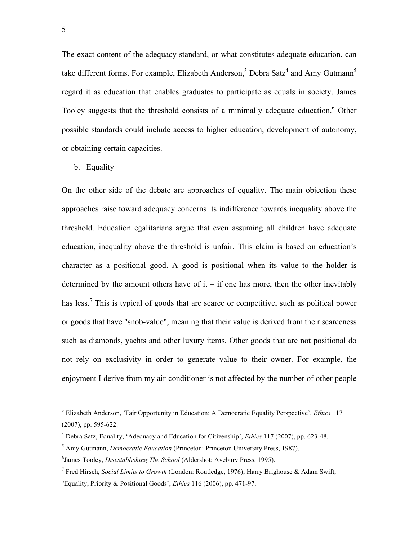The exact content of the adequacy standard, or what constitutes adequate education, can take different forms. For example, Elizabeth Anderson,<sup>3</sup> Debra Satz<sup>4</sup> and Amy Gutmann<sup>5</sup> regard it as education that enables graduates to participate as equals in society. James Tooley suggests that the threshold consists of a minimally adequate education.<sup>6</sup> Other possible standards could include access to higher education, development of autonomy, or obtaining certain capacities.

#### b. Equality

<u> 1989 - Johann Stein, fransk politik (d. 1989)</u>

On the other side of the debate are approaches of equality. The main objection these approaches raise toward adequacy concerns its indifference towards inequality above the threshold. Education egalitarians argue that even assuming all children have adequate education, inequality above the threshold is unfair. This claim is based on education's character as a positional good. A good is positional when its value to the holder is determined by the amount others have of it – if one has more, then the other inevitably has less.<sup>7</sup> This is typical of goods that are scarce or competitive, such as political power or goods that have "snob-value", meaning that their value is derived from their scarceness such as diamonds, yachts and other luxury items. Other goods that are not positional do not rely on exclusivity in order to generate value to their owner. For example, the enjoyment I derive from my air-conditioner is not affected by the number of other people

<sup>3</sup> Elizabeth Anderson, 'Fair Opportunity in Education: A Democratic Equality Perspective', *Ethics* 117 (2007), pp. 595-622.

<sup>4</sup> Debra Satz, Equality, 'Adequacy and Education for Citizenship', *Ethics* 117 (2007), pp. 623-48.

<sup>5</sup> Amy Gutmann, *Democratic Education* (Princeton: Princeton University Press, 1987).

<sup>6</sup> James Tooley, *Disestablishing The School* (Aldershot: Avebury Press, 1995).

<sup>7</sup> Fred Hirsch, *Social Limits to Growth* (London: Routledge, 1976); Harry Brighouse & Adam Swift, *'*Equality, Priority & Positional Goods', *Ethics* 116 (2006), pp. 471-97.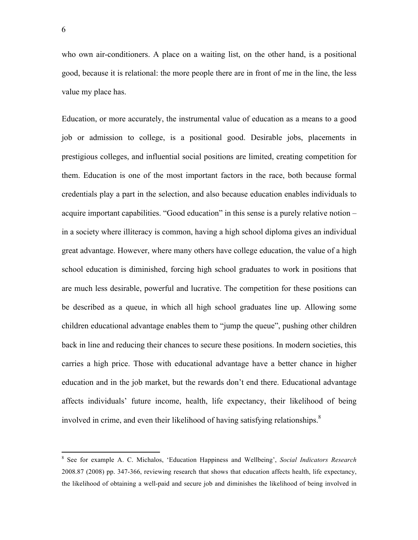who own air-conditioners. A place on a waiting list, on the other hand, is a positional good, because it is relational: the more people there are in front of me in the line, the less value my place has.

Education, or more accurately, the instrumental value of education as a means to a good job or admission to college, is a positional good. Desirable jobs, placements in prestigious colleges, and influential social positions are limited, creating competition for them. Education is one of the most important factors in the race, both because formal credentials play a part in the selection, and also because education enables individuals to acquire important capabilities. "Good education" in this sense is a purely relative notion – in a society where illiteracy is common, having a high school diploma gives an individual great advantage. However, where many others have college education, the value of a high school education is diminished, forcing high school graduates to work in positions that are much less desirable, powerful and lucrative. The competition for these positions can be described as a queue, in which all high school graduates line up. Allowing some children educational advantage enables them to "jump the queue", pushing other children back in line and reducing their chances to secure these positions. In modern societies, this carries a high price. Those with educational advantage have a better chance in higher education and in the job market, but the rewards don't end there. Educational advantage affects individuals' future income, health, life expectancy, their likelihood of being involved in crime, and even their likelihood of having satisfying relationships. 8

<sup>8</sup> See for example A. C. Michalos, 'Education Happiness and Wellbeing', *Social Indicators Research* 2008.87 (2008) pp. 347-366, reviewing research that shows that education affects health, life expectancy, the likelihood of obtaining a well-paid and secure job and diminishes the likelihood of being involved in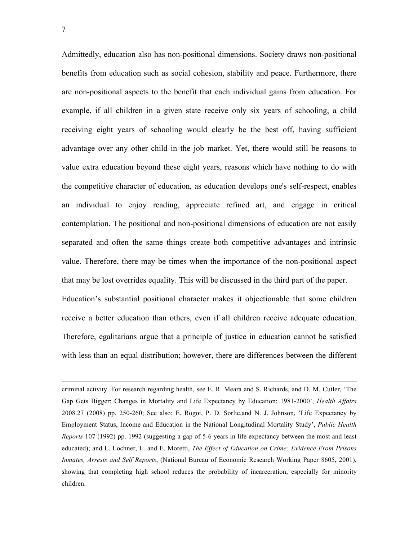Admittedly, education also has non-positional dimensions. Society draws non-positional benefits from education such as social cohesion, stability and peace. Furthermore, there are non-positional aspects to the benefit that each individual gains from education. For example, if all children in a given state receive only six years of schooling, a child receiving eight years of schooling would clearly be the best off, having sufficient advantage over any other child in the job market. Yet, there would still be reasons to value extra education beyond these eight years, reasons which have nothing to do with the competitive character of education, as education develops one's self-respect, enables an individual to enjoy reading, appreciate refined art, and engage in critical contemplation. The positional and non-positional dimensions of education are not easily separated and often the same things create both competitive advantages and intrinsic value. Therefore, there may be times when the importance of the non-positional aspect that may be lost overrides equality. This will be discussed in the third part of the paper. Education's substantial positional character makes it objectionable that some children receive a better education than others, even if all children receive adequate education. Therefore, egalitarians argue that a principle of justice in education cannot be satisfied with less than an equal distribution; however, there are differences between the different

criminal activity. For research regarding health, see E. R. Meara and S. Richards, and D. M. Cutler, 'The Gap Gets Bigger: Changes in Mortality and Life Expectancy by Education: 1981-2000', *Health Affairs* 2008.27 (2008) pp. 250-260; See also: E. Rogot, P. D. Sorlie,and N. J. Johnson, 'Life Expectancy by Employment Status, Income and Education in the National Longitudinal Mortality Study', *Public Health Reports* 107 (1992) pp. 1992 (suggesting a gap of 5-6 years in life expectancy between the most and least educated); and L. Lochner, L. and E. Moretti, *The Effect of Education on Crime: Evidence From Prisons Inmates, Arrests and Self Reports*, (National Bureau of Economic Research Working Paper 8605, 2001), showing that completing high school reduces the probability of incarceration, especially for minority children.

<u> 1989 - Andrea Santa Andrea Andrea Andrea Andrea Andrea Andrea Andrea Andrea Andrea Andrea Andrea Andrea Andr</u>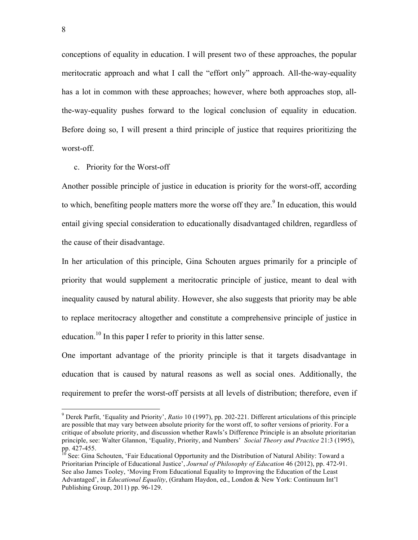conceptions of equality in education. I will present two of these approaches, the popular meritocratic approach and what I call the "effort only" approach. All-the-way-equality has a lot in common with these approaches; however, where both approaches stop, allthe-way-equality pushes forward to the logical conclusion of equality in education. Before doing so, I will present a third principle of justice that requires prioritizing the worst-off.

c. Priority for the Worst-off

<u> 1989 - Johann Stein, fransk politik (d. 1989)</u>

Another possible principle of justice in education is priority for the worst-off, according to which, benefiting people matters more the worse off they are.<sup>9</sup> In education, this would entail giving special consideration to educationally disadvantaged children, regardless of the cause of their disadvantage.

In her articulation of this principle, Gina Schouten argues primarily for a principle of priority that would supplement a meritocratic principle of justice, meant to deal with inequality caused by natural ability. However, she also suggests that priority may be able to replace meritocracy altogether and constitute a comprehensive principle of justice in education.<sup>10</sup> In this paper I refer to priority in this latter sense.

One important advantage of the priority principle is that it targets disadvantage in education that is caused by natural reasons as well as social ones. Additionally, the requirement to prefer the worst-off persists at all levels of distribution; therefore, even if

<sup>9</sup> Derek Parfit, 'Equality and Priority', *Ratio* 10 (1997), pp. 202-221. Different articulations of this principle are possible that may vary between absolute priority for the worst off, to softer versions of priority. For a critique of absolute priority, and discussion whether Rawls's Difference Principle is an absolute prioritarian principle, see: Walter Glannon, 'Equality, Priority, and Numbers' *Social Theory and Practice* 21:3 (1995), pp. 427-455.<br><sup>10</sup> See: Gina Schouten, 'Fair Educational Opportunity and the Distribution of Natural Ability: Toward a

Prioritarian Principle of Educational Justice', *Journal of Philosophy of Education* 46 (2012), pp. 472-91. See also James Tooley, 'Moving From Educational Equality to Improving the Education of the Least Advantaged', in *Educational Equality*, (Graham Haydon, ed., London & New York: Continuum Int'l Publishing Group, 2011) pp. 96-129.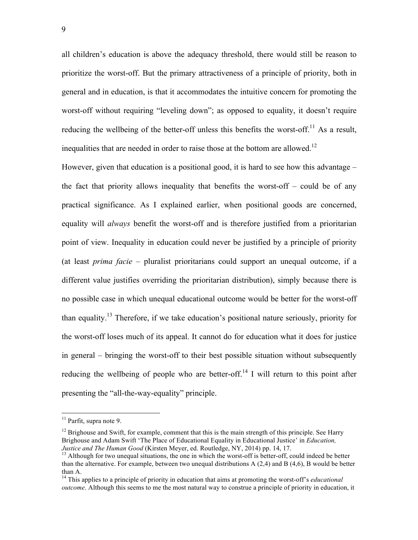all children's education is above the adequacy threshold, there would still be reason to prioritize the worst-off. But the primary attractiveness of a principle of priority, both in general and in education, is that it accommodates the intuitive concern for promoting the worst-off without requiring "leveling down"; as opposed to equality, it doesn't require reducing the wellbeing of the better-off unless this benefits the worst-off.<sup>11</sup> As a result, inequalities that are needed in order to raise those at the bottom are allowed.<sup>12</sup>

However, given that education is a positional good, it is hard to see how this advantage – the fact that priority allows inequality that benefits the worst-off – could be of any practical significance. As I explained earlier, when positional goods are concerned, equality will *always* benefit the worst-off and is therefore justified from a prioritarian point of view. Inequality in education could never be justified by a principle of priority (at least *prima facie* – pluralist prioritarians could support an unequal outcome, if a different value justifies overriding the prioritarian distribution), simply because there is no possible case in which unequal educational outcome would be better for the worst-off than equality.13 Therefore, if we take education's positional nature seriously, priority for the worst-off loses much of its appeal. It cannot do for education what it does for justice in general – bringing the worst-off to their best possible situation without subsequently reducing the wellbeing of people who are better-off.<sup>14</sup> I will return to this point after presenting the "all-the-way-equality" principle.

 $11$  Parfit, supra note 9.

<sup>&</sup>lt;sup>12</sup> Brighouse and Swift, for example, comment that this is the main strength of this principle. See Harry Brighouse and Adam Swift 'The Place of Educational Equality in Educational Justice' in *Education,* 

*Justice and The Human Good* (Kirsten Meyer, ed. Routledge, NY, 2014) pp. 14, 17.<br><sup>13</sup> Although for two unequal situations, the one in which the worst-off is better-off, could indeed be better than the alternative. For example, between two unequal distributions  $A(2,4)$  and  $B(4,6)$ , B would be better than A. 14 This applies to a principle of priority in education that aims at promoting the worst-off's *educational* 

*outcome*. Although this seems to me the most natural way to construe a principle of priority in education, it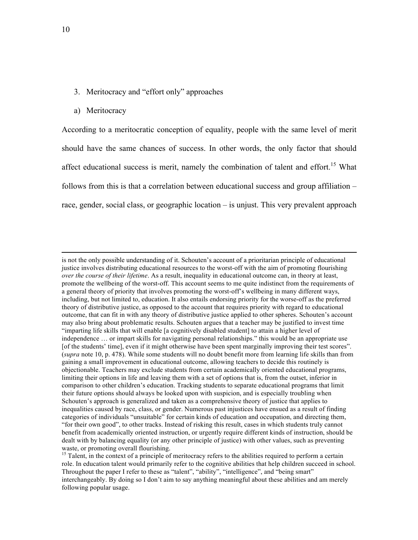- 3. Meritocracy and "effort only" approaches
- a) Meritocracy

According to a meritocratic conception of equality, people with the same level of merit should have the same chances of success. In other words, the only factor that should affect educational success is merit, namely the combination of talent and effort.<sup>15</sup> What follows from this is that a correlation between educational success and group affiliation – race, gender, social class, or geographic location – is unjust. This very prevalent approach

<u> 1989 - Andrea Santa Andrea Andrea Andrea Andrea Andrea Andrea Andrea Andrea Andrea Andrea Andrea Andrea Andr</u>

is not the only possible understanding of it. Schouten's account of a prioritarian principle of educational justice involves distributing educational resources to the worst-off with the aim of promoting flourishing *over the course of their lifetime.* As a result, inequality in educational outcome can, in theory at least, promote the wellbeing of the worst-off. This account seems to me quite indistinct from the requirements of a general theory of priority that involves promoting the worst-off's wellbeing in many different ways, including, but not limited to, education. It also entails endorsing priority for the worse-off as the preferred theory of distributive justice, as opposed to the account that requires priority with regard to educational outcome, that can fit in with any theory of distributive justice applied to other spheres. Schouten's account may also bring about problematic results. Schouten argues that a teacher may be justified to invest time "imparting life skills that will enable [a cognitively disabled student] to attain a higher level of independence … or impart skills for navigating personal relationships." this would be an appropriate use [of the students' time], even if it might otherwise have been spent marginally improving their test scores". (*supra* note 10, p. 478). While some students will no doubt benefit more from learning life skills than from gaining a small improvement in educational outcome, allowing teachers to decide this routinely is objectionable. Teachers may exclude students from certain academically oriented educational programs, limiting their options in life and leaving them with a set of options that is, from the outset, inferior in comparison to other children's education. Tracking students to separate educational programs that limit their future options should always be looked upon with suspicion, and is especially troubling when Schouten's approach is generalized and taken as a comprehensive theory of justice that applies to inequalities caused by race, class, or gender. Numerous past injustices have ensued as a result of finding categories of individuals "unsuitable" for certain kinds of education and occupation, and directing them, "for their own good", to other tracks. Instead of risking this result, cases in which students truly cannot benefit from academically oriented instruction, or urgently require different kinds of instruction, should be dealt with by balancing equality (or any other principle of justice) with other values, such as preventing waste, or promoting overall flourishing.

<sup>&</sup>lt;sup>15</sup> Talent, in the context of a principle of meritocracy refers to the abilities required to perform a certain role. In education talent would primarily refer to the cognitive abilities that help children succeed in school. Throughout the paper I refer to these as "talent", "ability", "intelligence", and "being smart" interchangeably. By doing so I don't aim to say anything meaningful about these abilities and am merely following popular usage.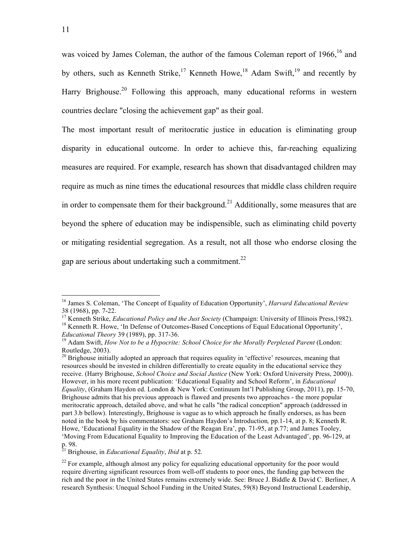was voiced by James Coleman, the author of the famous Coleman report of 1966, <sup>16</sup> and by others, such as Kenneth Strike,<sup>17</sup> Kenneth Howe,<sup>18</sup> Adam Swift,<sup>19</sup> and recently by Harry Brighouse.<sup>20</sup> Following this approach, many educational reforms in western countries declare "closing the achievement gap" as their goal.

The most important result of meritocratic justice in education is eliminating group disparity in educational outcome. In order to achieve this, far-reaching equalizing measures are required. For example, research has shown that disadvantaged children may require as much as nine times the educational resources that middle class children require in order to compensate them for their background.<sup>21</sup> Additionally, some measures that are beyond the sphere of education may be indispensible, such as eliminating child poverty or mitigating residential segregation. As a result, not all those who endorse closing the gap are serious about undertaking such a commitment.<sup>22</sup>

 

<sup>16</sup> James S. Coleman, 'The Concept of Equality of Education Opportunity', *Harvard Educational Review*

<sup>38 (1968),</sup> pp. 7-22.<br><sup>17</sup> Kenneth Strike, *Educational Policy and the Just Society* (Champaign: University of Illinois Press, 1982).<br><sup>18</sup> Kenneth R. Howe, 'In Defense of Outcomes-Based Conceptions of Equal Educational Opp

*Educational Theory* 39 (1989), pp. 317-36.<br><sup>19</sup> Adam Swift, *How Not to be a Hypocrite: School Choice for the Morally Perplexed Parent* (London:

Routledge, 2003).

 $20$  Brighouse initially adopted an approach that requires equality in 'effective' resources, meaning that resources should be invested in children differentially to create equality in the educational service they receive. (Harry Brighouse, *School Choice and Social Justice* (New York: Oxford University Press, 2000)). However, in his more recent publication: 'Educational Equality and School Reform', in *Educational Equality*, (Graham Haydon ed. London & New York: Continuum Int'l Publishing Group, 2011), pp. 15-70, Brighouse admits that his previous approach is flawed and presents two approaches - the more popular meritocratic approach, detailed above, and what he calls "the radical conception" approach (addressed in part 3.b bellow). Interestingly, Brighouse is vague as to which approach he finally endorses, as has been noted in the book by his commentators: see Graham Haydon's Introduction*,* pp.1-14, at p. 8; Kenneth R. Howe, 'Educational Equality in the Shadow of the Reagan Era', pp. 71-95, at p.77; and James Tooley, 'Moving From Educational Equality to Improving the Education of the Least Advantaged', pp. 96-129, at p. 98.

<sup>21</sup> Brighouse, in *Educational Equality*, *Ibid* at p. 52*.* 

 $^{22}$  For example, although almost any policy for equalizing educational opportunity for the poor would require diverting significant resources from well-off students to poor ones, the funding gap between the rich and the poor in the United States remains extremely wide. See: Bruce J. Biddle & David C. Berliner, A research Synthesis: Unequal School Funding in the United States, 59(8) Beyond Instructional Leadership,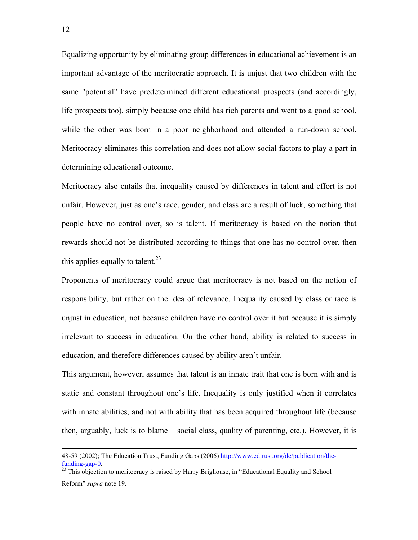Equalizing opportunity by eliminating group differences in educational achievement is an important advantage of the meritocratic approach. It is unjust that two children with the same "potential" have predetermined different educational prospects (and accordingly, life prospects too), simply because one child has rich parents and went to a good school, while the other was born in a poor neighborhood and attended a run-down school. Meritocracy eliminates this correlation and does not allow social factors to play a part in determining educational outcome.

Meritocracy also entails that inequality caused by differences in talent and effort is not unfair. However, just as one's race, gender, and class are a result of luck, something that people have no control over, so is talent. If meritocracy is based on the notion that rewards should not be distributed according to things that one has no control over, then this applies equally to talent.<sup>23</sup>

Proponents of meritocracy could argue that meritocracy is not based on the notion of responsibility, but rather on the idea of relevance. Inequality caused by class or race is unjust in education, not because children have no control over it but because it is simply irrelevant to success in education. On the other hand, ability is related to success in education, and therefore differences caused by ability aren't unfair.

This argument, however, assumes that talent is an innate trait that one is born with and is static and constant throughout one's life. Inequality is only justified when it correlates with innate abilities, and not with ability that has been acquired throughout life (because then, arguably, luck is to blame – social class, quality of parenting, etc.). However, it is

<u> 1989 - Andrea Santa Andrea Andrea Andrea Andrea Andrea Andrea Andrea Andrea Andrea Andrea Andrea Andrea Andr</u>

<sup>48-59 (2002);</sup> The Education Trust, Funding Gaps (2006) http://www.edtrust.org/dc/publication/the-<br>funding-gap-0.

 $\frac{23}{23}$  This objection to meritocracy is raised by Harry Brighouse, in "Educational Equality and School Reform" *supra* note 19.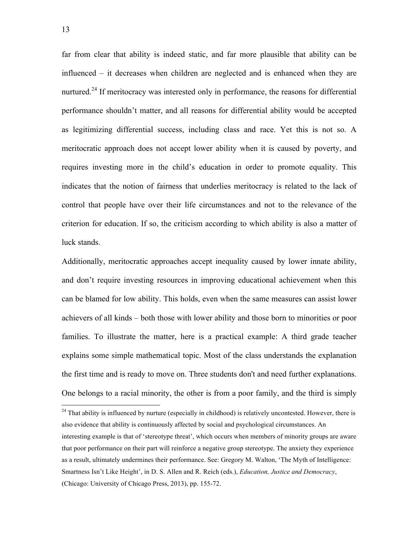far from clear that ability is indeed static, and far more plausible that ability can be influenced – it decreases when children are neglected and is enhanced when they are nurtured.<sup>24</sup> If meritocracy was interested only in performance, the reasons for differential performance shouldn't matter, and all reasons for differential ability would be accepted as legitimizing differential success, including class and race. Yet this is not so. A meritocratic approach does not accept lower ability when it is caused by poverty, and requires investing more in the child's education in order to promote equality. This indicates that the notion of fairness that underlies meritocracy is related to the lack of control that people have over their life circumstances and not to the relevance of the criterion for education. If so, the criticism according to which ability is also a matter of luck stands.

Additionally, meritocratic approaches accept inequality caused by lower innate ability, and don't require investing resources in improving educational achievement when this can be blamed for low ability. This holds, even when the same measures can assist lower achievers of all kinds – both those with lower ability and those born to minorities or poor families. To illustrate the matter, here is a practical example: A third grade teacher explains some simple mathematical topic. Most of the class understands the explanation the first time and is ready to move on. Three students don't and need further explanations. One belongs to a racial minority, the other is from a poor family, and the third is simply

 $24$  That ability is influenced by nurture (especially in childhood) is relatively uncontested. However, there is also evidence that ability is continuously affected by social and psychological circumstances. An interesting example is that of 'stereotype threat', which occurs when members of minority groups are aware that poor performance on their part will reinforce a negative group stereotype. The anxiety they experience as a result, ultimately undermines their performance. See: Gregory M. Walton, 'The Myth of Intelligence: Smartness Isn't Like Height', in D. S. Allen and R. Reich (eds.), *Education, Justice and Democracy*, (Chicago: University of Chicago Press, 2013), pp. 155-72.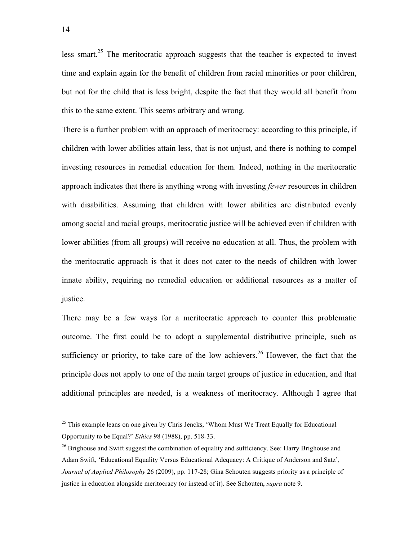less smart.<sup>25</sup> The meritocratic approach suggests that the teacher is expected to invest time and explain again for the benefit of children from racial minorities or poor children, but not for the child that is less bright, despite the fact that they would all benefit from this to the same extent. This seems arbitrary and wrong.

There is a further problem with an approach of meritocracy: according to this principle, if children with lower abilities attain less, that is not unjust, and there is nothing to compel investing resources in remedial education for them. Indeed, nothing in the meritocratic approach indicates that there is anything wrong with investing *fewer* resources in children with disabilities. Assuming that children with lower abilities are distributed evenly among social and racial groups, meritocratic justice will be achieved even if children with lower abilities (from all groups) will receive no education at all. Thus, the problem with the meritocratic approach is that it does not cater to the needs of children with lower innate ability, requiring no remedial education or additional resources as a matter of justice.

There may be a few ways for a meritocratic approach to counter this problematic outcome. The first could be to adopt a supplemental distributive principle, such as sufficiency or priority, to take care of the low achievers.<sup>26</sup> However, the fact that the principle does not apply to one of the main target groups of justice in education, and that additional principles are needed, is a weakness of meritocracy. Although I agree that

 $25$  This example leans on one given by Chris Jencks, 'Whom Must We Treat Equally for Educational Opportunity to be Equal?' *Ethics* 98 (1988), pp. 518-33.

<sup>&</sup>lt;sup>26</sup> Brighouse and Swift suggest the combination of equality and sufficiency. See: Harry Brighouse and Adam Swift, 'Educational Equality Versus Educational Adequacy: A Critique of Anderson and Satz'*, Journal of Applied Philosophy* 26 (2009), pp. 117-28; Gina Schouten suggests priority as a principle of justice in education alongside meritocracy (or instead of it). See Schouten, *supra* note 9.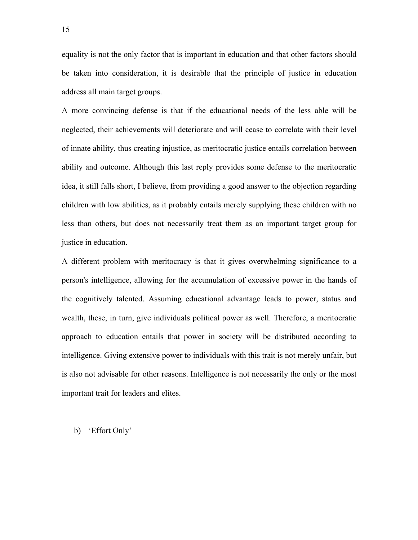equality is not the only factor that is important in education and that other factors should be taken into consideration, it is desirable that the principle of justice in education address all main target groups.

A more convincing defense is that if the educational needs of the less able will be neglected, their achievements will deteriorate and will cease to correlate with their level of innate ability, thus creating injustice, as meritocratic justice entails correlation between ability and outcome. Although this last reply provides some defense to the meritocratic idea, it still falls short, I believe, from providing a good answer to the objection regarding children with low abilities, as it probably entails merely supplying these children with no less than others, but does not necessarily treat them as an important target group for justice in education.

A different problem with meritocracy is that it gives overwhelming significance to a person's intelligence, allowing for the accumulation of excessive power in the hands of the cognitively talented. Assuming educational advantage leads to power, status and wealth, these, in turn, give individuals political power as well. Therefore, a meritocratic approach to education entails that power in society will be distributed according to intelligence. Giving extensive power to individuals with this trait is not merely unfair, but is also not advisable for other reasons. Intelligence is not necessarily the only or the most important trait for leaders and elites.

b) 'Effort Only'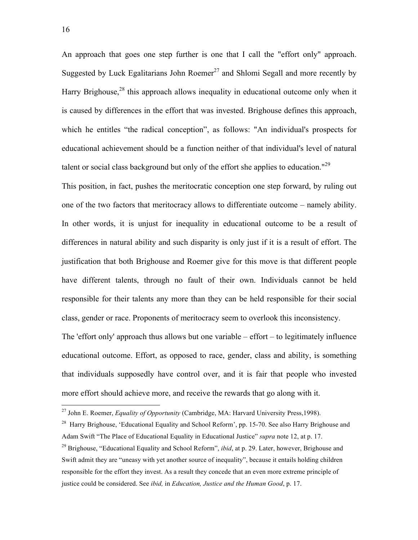An approach that goes one step further is one that I call the "effort only" approach. Suggested by Luck Egalitarians John Roemer<sup>27</sup> and Shlomi Segall and more recently by Harry Brighouse, $28$  this approach allows inequality in educational outcome only when it is caused by differences in the effort that was invested. Brighouse defines this approach, which he entitles "the radical conception", as follows: "An individual's prospects for educational achievement should be a function neither of that individual's level of natural talent or social class background but only of the effort she applies to education."<sup>29</sup>

This position, in fact, pushes the meritocratic conception one step forward, by ruling out one of the two factors that meritocracy allows to differentiate outcome – namely ability. In other words, it is unjust for inequality in educational outcome to be a result of differences in natural ability and such disparity is only just if it is a result of effort. The justification that both Brighouse and Roemer give for this move is that different people have different talents, through no fault of their own. Individuals cannot be held responsible for their talents any more than they can be held responsible for their social class, gender or race. Proponents of meritocracy seem to overlook this inconsistency.

The 'effort only' approach thus allows but one variable – effort – to legitimately influence educational outcome. Effort, as opposed to race, gender, class and ability, is something that individuals supposedly have control over, and it is fair that people who invested more effort should achieve more, and receive the rewards that go along with it.

<sup>27</sup> John E. Roemer, *Equality of Opportunity* (Cambridge, MA: Harvard University Press,1998).

<sup>&</sup>lt;sup>28</sup> Harry Brighouse, 'Educational Equality and School Reform', pp. 15-70. See also Harry Brighouse and Adam Swift "The Place of Educational Equality in Educational Justice" *supra* note 12, at p. 17.

<sup>29</sup> Brighouse, "Educational Equality and School Reform", *ibid*, at p. 29. Later, however, Brighouse and Swift admit they are "uneasy with yet another source of inequality", because it entails holding children responsible for the effort they invest. As a result they concede that an even more extreme principle of justice could be considered. See *ibid,* in *Education, Justice and the Human Good*, p. 17.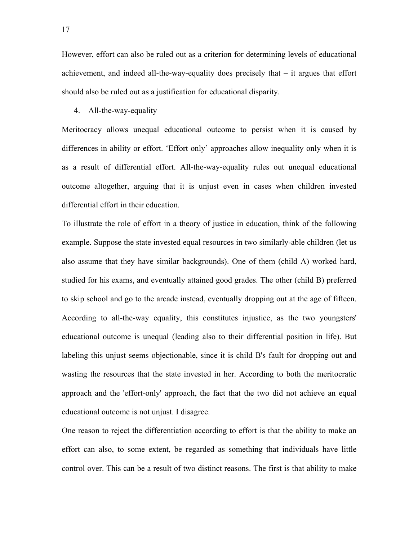However, effort can also be ruled out as a criterion for determining levels of educational achievement, and indeed all-the-way-equality does precisely that – it argues that effort should also be ruled out as a justification for educational disparity.

#### 4. All-the-way-equality

Meritocracy allows unequal educational outcome to persist when it is caused by differences in ability or effort. 'Effort only' approaches allow inequality only when it is as a result of differential effort. All-the-way-equality rules out unequal educational outcome altogether, arguing that it is unjust even in cases when children invested differential effort in their education.

To illustrate the role of effort in a theory of justice in education, think of the following example. Suppose the state invested equal resources in two similarly-able children (let us also assume that they have similar backgrounds). One of them (child A) worked hard, studied for his exams, and eventually attained good grades. The other (child B) preferred to skip school and go to the arcade instead, eventually dropping out at the age of fifteen. According to all-the-way equality, this constitutes injustice, as the two youngsters' educational outcome is unequal (leading also to their differential position in life). But labeling this unjust seems objectionable, since it is child B's fault for dropping out and wasting the resources that the state invested in her. According to both the meritocratic approach and the 'effort-only' approach, the fact that the two did not achieve an equal educational outcome is not unjust. I disagree.

One reason to reject the differentiation according to effort is that the ability to make an effort can also, to some extent, be regarded as something that individuals have little control over. This can be a result of two distinct reasons. The first is that ability to make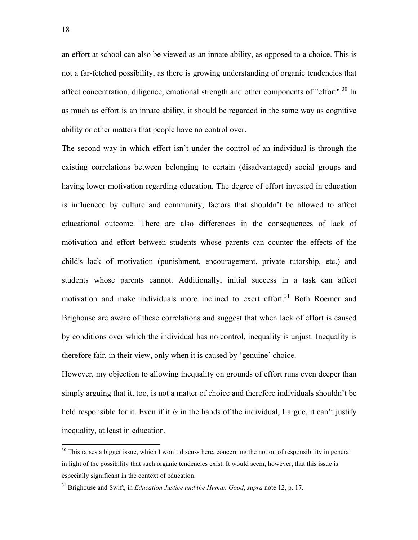an effort at school can also be viewed as an innate ability, as opposed to a choice. This is not a far-fetched possibility, as there is growing understanding of organic tendencies that affect concentration, diligence, emotional strength and other components of "effort".<sup>30</sup> In as much as effort is an innate ability, it should be regarded in the same way as cognitive ability or other matters that people have no control over.

The second way in which effort isn't under the control of an individual is through the existing correlations between belonging to certain (disadvantaged) social groups and having lower motivation regarding education. The degree of effort invested in education is influenced by culture and community, factors that shouldn't be allowed to affect educational outcome. There are also differences in the consequences of lack of motivation and effort between students whose parents can counter the effects of the child's lack of motivation (punishment, encouragement, private tutorship, etc.) and students whose parents cannot. Additionally, initial success in a task can affect motivation and make individuals more inclined to exert effort.<sup>31</sup> Both Roemer and Brighouse are aware of these correlations and suggest that when lack of effort is caused by conditions over which the individual has no control, inequality is unjust. Inequality is therefore fair, in their view, only when it is caused by 'genuine' choice.

However, my objection to allowing inequality on grounds of effort runs even deeper than simply arguing that it, too, is not a matter of choice and therefore individuals shouldn't be held responsible for it. Even if it *is* in the hands of the individual, I argue, it can't justify inequality, at least in education.

<sup>&</sup>lt;sup>30</sup> This raises a bigger issue, which I won't discuss here, concerning the notion of responsibility in general in light of the possibility that such organic tendencies exist. It would seem, however, that this issue is especially significant in the context of education.

<sup>31</sup> Brighouse and Swift, in *Education Justice and the Human Good*, *supra* note 12, p. 17.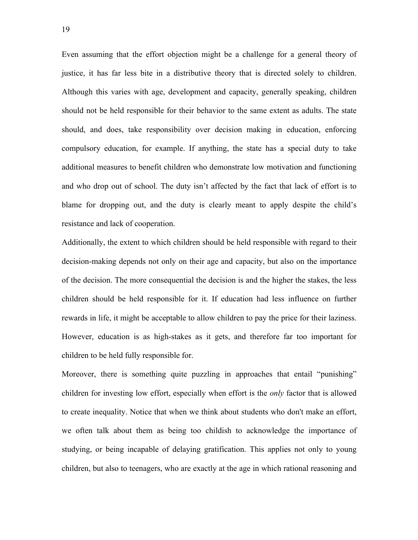Even assuming that the effort objection might be a challenge for a general theory of justice, it has far less bite in a distributive theory that is directed solely to children. Although this varies with age, development and capacity, generally speaking, children should not be held responsible for their behavior to the same extent as adults. The state should, and does, take responsibility over decision making in education, enforcing compulsory education, for example. If anything, the state has a special duty to take additional measures to benefit children who demonstrate low motivation and functioning and who drop out of school. The duty isn't affected by the fact that lack of effort is to blame for dropping out, and the duty is clearly meant to apply despite the child's resistance and lack of cooperation.

Additionally, the extent to which children should be held responsible with regard to their decision-making depends not only on their age and capacity, but also on the importance of the decision. The more consequential the decision is and the higher the stakes, the less children should be held responsible for it. If education had less influence on further rewards in life, it might be acceptable to allow children to pay the price for their laziness. However, education is as high-stakes as it gets, and therefore far too important for children to be held fully responsible for.

Moreover, there is something quite puzzling in approaches that entail "punishing" children for investing low effort, especially when effort is the *only* factor that is allowed to create inequality. Notice that when we think about students who don't make an effort, we often talk about them as being too childish to acknowledge the importance of studying, or being incapable of delaying gratification. This applies not only to young children, but also to teenagers, who are exactly at the age in which rational reasoning and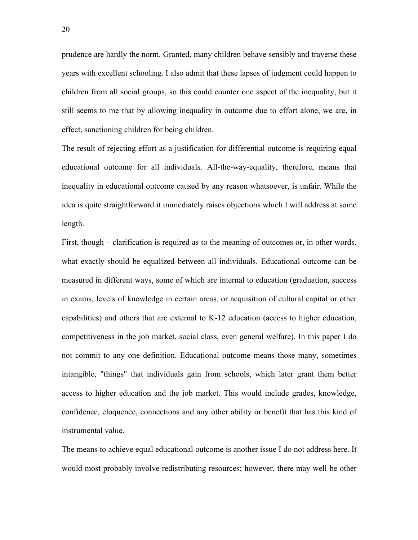prudence are hardly the norm. Granted, many children behave sensibly and traverse these years with excellent schooling. I also admit that these lapses of judgment could happen to children from all social groups, so this could counter one aspect of the inequality, but it still seems to me that by allowing inequality in outcome due to effort alone, we are, in effect, sanctioning children for being children.

The result of rejecting effort as a justification for differential outcome is requiring equal educational outcome for all individuals. All-the-way-equality, therefore, means that inequality in educational outcome caused by any reason whatsoever, is unfair. While the idea is quite straightforward it immediately raises objections which I will address at some length.

First, though – clarification is required as to the meaning of outcomes or, in other words, what exactly should be equalized between all individuals. Educational outcome can be measured in different ways, some of which are internal to education (graduation, success in exams, levels of knowledge in certain areas, or acquisition of cultural capital or other capabilities) and others that are external to K-12 education (access to higher education, competitiveness in the job market, social class, even general welfare). In this paper I do not commit to any one definition. Educational outcome means those many, sometimes intangible, "things" that individuals gain from schools, which later grant them better access to higher education and the job market. This would include grades, knowledge, confidence, eloquence, connections and any other ability or benefit that has this kind of instrumental value.

The means to achieve equal educational outcome is another issue I do not address here. It would most probably involve redistributing resources; however, there may well be other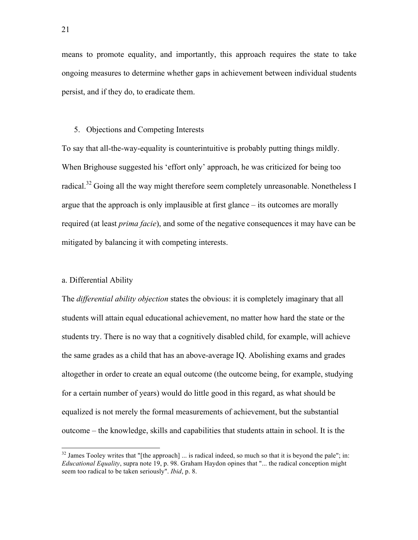means to promote equality, and importantly, this approach requires the state to take ongoing measures to determine whether gaps in achievement between individual students persist, and if they do, to eradicate them.

#### 5. Objections and Competing Interests

To say that all-the-way-equality is counterintuitive is probably putting things mildly. When Brighouse suggested his 'effort only' approach, he was criticized for being too radical.<sup>32</sup> Going all the way might therefore seem completely unreasonable. Nonetheless I argue that the approach is only implausible at first glance – its outcomes are morally required (at least *prima facie*), and some of the negative consequences it may have can be mitigated by balancing it with competing interests.

#### a. Differential Ability

<u> 1989 - Johann Stein, fransk politik (d. 1989)</u>

The *differential ability objection* states the obvious: it is completely imaginary that all students will attain equal educational achievement, no matter how hard the state or the students try. There is no way that a cognitively disabled child, for example, will achieve the same grades as a child that has an above-average IQ. Abolishing exams and grades altogether in order to create an equal outcome (the outcome being, for example, studying for a certain number of years) would do little good in this regard, as what should be equalized is not merely the formal measurements of achievement, but the substantial outcome – the knowledge, skills and capabilities that students attain in school. It is the

 $32$  James Tooley writes that "[the approach] ... is radical indeed, so much so that it is beyond the pale"; in: *Educational Equality*, supra note 19, p. 98. Graham Haydon opines that "... the radical conception might seem too radical to be taken seriously". *Ibid*, p. 8.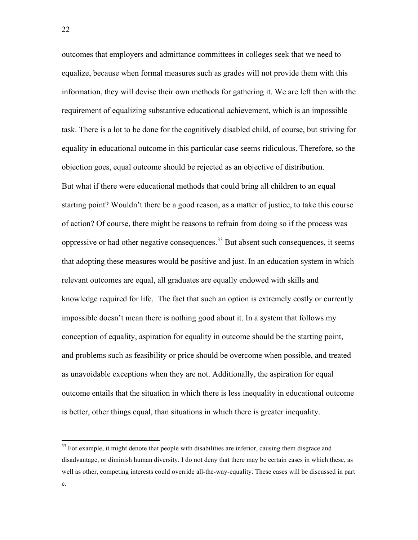outcomes that employers and admittance committees in colleges seek that we need to equalize, because when formal measures such as grades will not provide them with this information, they will devise their own methods for gathering it. We are left then with the requirement of equalizing substantive educational achievement, which is an impossible task. There is a lot to be done for the cognitively disabled child, of course, but striving for equality in educational outcome in this particular case seems ridiculous. Therefore, so the objection goes, equal outcome should be rejected as an objective of distribution. But what if there were educational methods that could bring all children to an equal starting point? Wouldn't there be a good reason, as a matter of justice, to take this course of action? Of course, there might be reasons to refrain from doing so if the process was oppressive or had other negative consequences.<sup>33</sup> But absent such consequences, it seems that adopting these measures would be positive and just. In an education system in which relevant outcomes are equal, all graduates are equally endowed with skills and knowledge required for life. The fact that such an option is extremely costly or currently impossible doesn't mean there is nothing good about it. In a system that follows my conception of equality, aspiration for equality in outcome should be the starting point, and problems such as feasibility or price should be overcome when possible, and treated as unavoidable exceptions when they are not. Additionally, the aspiration for equal outcome entails that the situation in which there is less inequality in educational outcome is better, other things equal, than situations in which there is greater inequality.

<u> 1989 - Johann Stein, fransk politik (d. 1989)</u>

c.

 $33$  For example, it might denote that people with disabilities are inferior, causing them disgrace and disadvantage, or diminish human diversity. I do not deny that there may be certain cases in which these, as well as other, competing interests could override all-the-way-equality. These cases will be discussed in part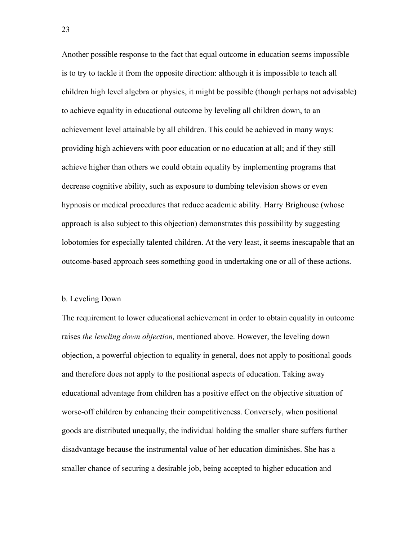Another possible response to the fact that equal outcome in education seems impossible is to try to tackle it from the opposite direction: although it is impossible to teach all children high level algebra or physics, it might be possible (though perhaps not advisable) to achieve equality in educational outcome by leveling all children down, to an achievement level attainable by all children. This could be achieved in many ways: providing high achievers with poor education or no education at all; and if they still achieve higher than others we could obtain equality by implementing programs that decrease cognitive ability, such as exposure to dumbing television shows or even hypnosis or medical procedures that reduce academic ability. Harry Brighouse (whose approach is also subject to this objection) demonstrates this possibility by suggesting lobotomies for especially talented children. At the very least, it seems inescapable that an outcome-based approach sees something good in undertaking one or all of these actions.

#### b. Leveling Down

The requirement to lower educational achievement in order to obtain equality in outcome raises *the leveling down objection,* mentioned above. However, the leveling down objection, a powerful objection to equality in general, does not apply to positional goods and therefore does not apply to the positional aspects of education. Taking away educational advantage from children has a positive effect on the objective situation of worse-off children by enhancing their competitiveness. Conversely, when positional goods are distributed unequally, the individual holding the smaller share suffers further disadvantage because the instrumental value of her education diminishes. She has a smaller chance of securing a desirable job, being accepted to higher education and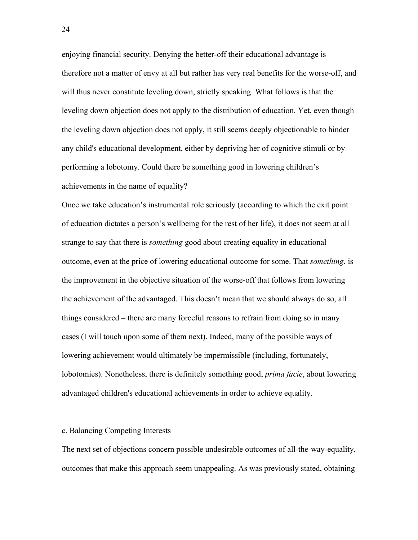enjoying financial security. Denying the better-off their educational advantage is therefore not a matter of envy at all but rather has very real benefits for the worse-off, and will thus never constitute leveling down, strictly speaking. What follows is that the leveling down objection does not apply to the distribution of education. Yet, even though the leveling down objection does not apply, it still seems deeply objectionable to hinder any child's educational development, either by depriving her of cognitive stimuli or by performing a lobotomy. Could there be something good in lowering children's achievements in the name of equality?

Once we take education's instrumental role seriously (according to which the exit point of education dictates a person's wellbeing for the rest of her life), it does not seem at all strange to say that there is *something* good about creating equality in educational outcome, even at the price of lowering educational outcome for some. That *something*, is the improvement in the objective situation of the worse-off that follows from lowering the achievement of the advantaged. This doesn't mean that we should always do so, all things considered – there are many forceful reasons to refrain from doing so in many cases (I will touch upon some of them next). Indeed, many of the possible ways of lowering achievement would ultimately be impermissible (including, fortunately, lobotomies). Nonetheless, there is definitely something good, *prima facie*, about lowering advantaged children's educational achievements in order to achieve equality.

#### c. Balancing Competing Interests

The next set of objections concern possible undesirable outcomes of all-the-way-equality, outcomes that make this approach seem unappealing. As was previously stated, obtaining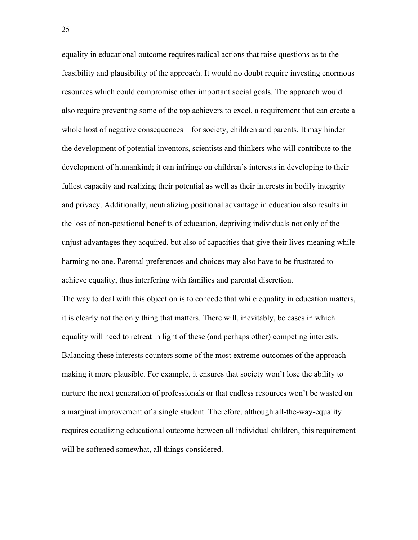equality in educational outcome requires radical actions that raise questions as to the feasibility and plausibility of the approach. It would no doubt require investing enormous resources which could compromise other important social goals. The approach would also require preventing some of the top achievers to excel, a requirement that can create a whole host of negative consequences – for society, children and parents. It may hinder the development of potential inventors, scientists and thinkers who will contribute to the development of humankind; it can infringe on children's interests in developing to their fullest capacity and realizing their potential as well as their interests in bodily integrity and privacy. Additionally, neutralizing positional advantage in education also results in the loss of non-positional benefits of education, depriving individuals not only of the unjust advantages they acquired, but also of capacities that give their lives meaning while harming no one. Parental preferences and choices may also have to be frustrated to achieve equality, thus interfering with families and parental discretion. The way to deal with this objection is to concede that while equality in education matters,

it is clearly not the only thing that matters. There will, inevitably, be cases in which equality will need to retreat in light of these (and perhaps other) competing interests. Balancing these interests counters some of the most extreme outcomes of the approach making it more plausible. For example, it ensures that society won't lose the ability to nurture the next generation of professionals or that endless resources won't be wasted on a marginal improvement of a single student. Therefore, although all-the-way-equality requires equalizing educational outcome between all individual children, this requirement will be softened somewhat, all things considered.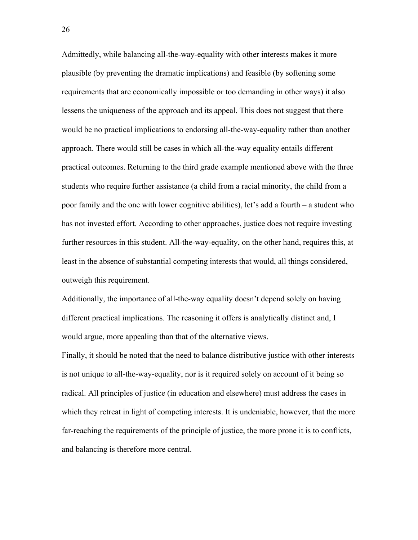Admittedly, while balancing all-the-way-equality with other interests makes it more plausible (by preventing the dramatic implications) and feasible (by softening some requirements that are economically impossible or too demanding in other ways) it also lessens the uniqueness of the approach and its appeal. This does not suggest that there would be no practical implications to endorsing all-the-way-equality rather than another approach. There would still be cases in which all-the-way equality entails different practical outcomes. Returning to the third grade example mentioned above with the three students who require further assistance (a child from a racial minority, the child from a poor family and the one with lower cognitive abilities), let's add a fourth – a student who has not invested effort. According to other approaches, justice does not require investing further resources in this student. All-the-way-equality, on the other hand, requires this, at least in the absence of substantial competing interests that would, all things considered, outweigh this requirement.

Additionally, the importance of all-the-way equality doesn't depend solely on having different practical implications. The reasoning it offers is analytically distinct and, I would argue, more appealing than that of the alternative views.

Finally, it should be noted that the need to balance distributive justice with other interests is not unique to all-the-way-equality, nor is it required solely on account of it being so radical. All principles of justice (in education and elsewhere) must address the cases in which they retreat in light of competing interests. It is undeniable, however, that the more far-reaching the requirements of the principle of justice, the more prone it is to conflicts, and balancing is therefore more central.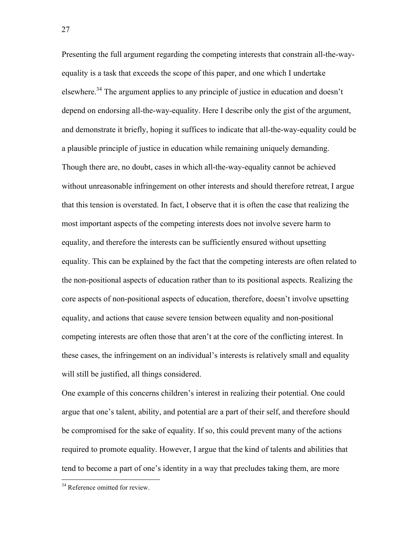Presenting the full argument regarding the competing interests that constrain all-the-wayequality is a task that exceeds the scope of this paper, and one which I undertake elsewhere.<sup>34</sup> The argument applies to any principle of justice in education and doesn't depend on endorsing all-the-way-equality. Here I describe only the gist of the argument, and demonstrate it briefly, hoping it suffices to indicate that all-the-way-equality could be a plausible principle of justice in education while remaining uniquely demanding. Though there are, no doubt, cases in which all-the-way-equality cannot be achieved without unreasonable infringement on other interests and should therefore retreat, I argue that this tension is overstated. In fact, I observe that it is often the case that realizing the most important aspects of the competing interests does not involve severe harm to equality, and therefore the interests can be sufficiently ensured without upsetting equality. This can be explained by the fact that the competing interests are often related to the non-positional aspects of education rather than to its positional aspects. Realizing the core aspects of non-positional aspects of education, therefore, doesn't involve upsetting equality, and actions that cause severe tension between equality and non-positional competing interests are often those that aren't at the core of the conflicting interest. In these cases, the infringement on an individual's interests is relatively small and equality will still be justified, all things considered.

One example of this concerns children's interest in realizing their potential. One could argue that one's talent, ability, and potential are a part of their self, and therefore should be compromised for the sake of equality. If so, this could prevent many of the actions required to promote equality. However, I argue that the kind of talents and abilities that tend to become a part of one's identity in a way that precludes taking them, are more

<sup>&</sup>lt;sup>34</sup> Reference omitted for review.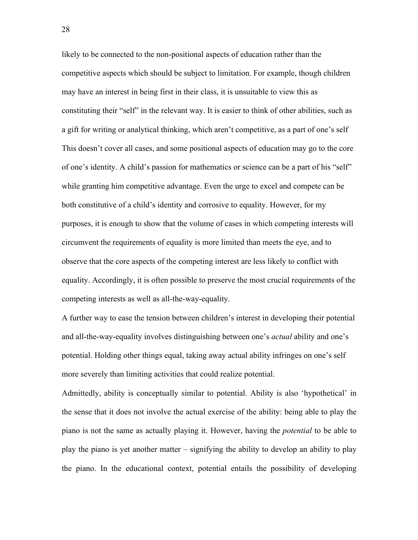likely to be connected to the non-positional aspects of education rather than the competitive aspects which should be subject to limitation. For example, though children may have an interest in being first in their class, it is unsuitable to view this as constituting their "self" in the relevant way. It is easier to think of other abilities, such as a gift for writing or analytical thinking, which aren't competitive, as a part of one's self This doesn't cover all cases, and some positional aspects of education may go to the core of one's identity. A child's passion for mathematics or science can be a part of his "self" while granting him competitive advantage. Even the urge to excel and compete can be both constitutive of a child's identity and corrosive to equality. However, for my purposes, it is enough to show that the volume of cases in which competing interests will circumvent the requirements of equality is more limited than meets the eye, and to observe that the core aspects of the competing interest are less likely to conflict with equality. Accordingly, it is often possible to preserve the most crucial requirements of the competing interests as well as all-the-way-equality.

A further way to ease the tension between children's interest in developing their potential and all-the-way-equality involves distinguishing between one's *actual* ability and one's potential. Holding other things equal, taking away actual ability infringes on one's self more severely than limiting activities that could realize potential.

Admittedly, ability is conceptually similar to potential. Ability is also 'hypothetical' in the sense that it does not involve the actual exercise of the ability: being able to play the piano is not the same as actually playing it. However, having the *potential* to be able to play the piano is yet another matter – signifying the ability to develop an ability to play the piano. In the educational context, potential entails the possibility of developing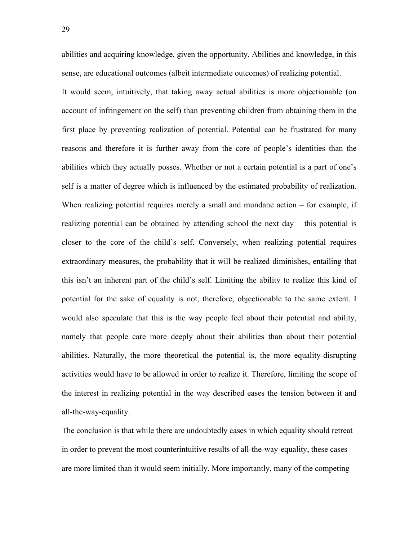abilities and acquiring knowledge, given the opportunity. Abilities and knowledge, in this sense, are educational outcomes (albeit intermediate outcomes) of realizing potential.

It would seem, intuitively, that taking away actual abilities is more objectionable (on account of infringement on the self) than preventing children from obtaining them in the first place by preventing realization of potential. Potential can be frustrated for many reasons and therefore it is further away from the core of people's identities than the abilities which they actually posses. Whether or not a certain potential is a part of one's self is a matter of degree which is influenced by the estimated probability of realization. When realizing potential requires merely a small and mundane action – for example, if realizing potential can be obtained by attending school the next day – this potential is closer to the core of the child's self. Conversely, when realizing potential requires extraordinary measures, the probability that it will be realized diminishes, entailing that this isn't an inherent part of the child's self. Limiting the ability to realize this kind of potential for the sake of equality is not, therefore, objectionable to the same extent. I would also speculate that this is the way people feel about their potential and ability, namely that people care more deeply about their abilities than about their potential abilities. Naturally, the more theoretical the potential is, the more equality-disrupting activities would have to be allowed in order to realize it. Therefore, limiting the scope of the interest in realizing potential in the way described eases the tension between it and all-the-way-equality.

The conclusion is that while there are undoubtedly cases in which equality should retreat in order to prevent the most counterintuitive results of all-the-way-equality, these cases are more limited than it would seem initially. More importantly, many of the competing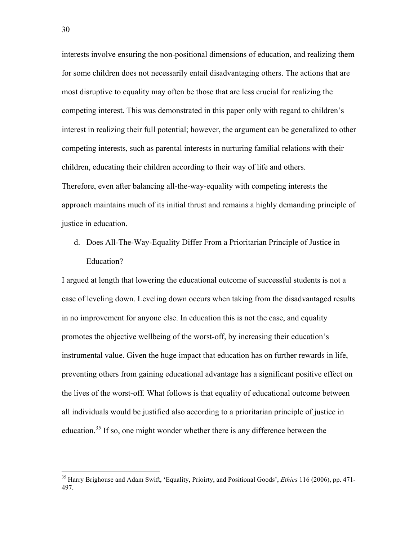interests involve ensuring the non-positional dimensions of education, and realizing them for some children does not necessarily entail disadvantaging others. The actions that are most disruptive to equality may often be those that are less crucial for realizing the competing interest. This was demonstrated in this paper only with regard to children's interest in realizing their full potential; however, the argument can be generalized to other competing interests, such as parental interests in nurturing familial relations with their children, educating their children according to their way of life and others. Therefore, even after balancing all-the-way-equality with competing interests the approach maintains much of its initial thrust and remains a highly demanding principle of justice in education.

d. Does All-The-Way-Equality Differ From a Prioritarian Principle of Justice in Education?

I argued at length that lowering the educational outcome of successful students is not a case of leveling down. Leveling down occurs when taking from the disadvantaged results in no improvement for anyone else. In education this is not the case, and equality promotes the objective wellbeing of the worst-off, by increasing their education's instrumental value. Given the huge impact that education has on further rewards in life, preventing others from gaining educational advantage has a significant positive effect on the lives of the worst-off. What follows is that equality of educational outcome between all individuals would be justified also according to a prioritarian principle of justice in education.<sup>35</sup> If so, one might wonder whether there is any difference between the

 

<sup>35</sup> Harry Brighouse and Adam Swift, 'Equality, Prioirty, and Positional Goods', *Ethics* 116 (2006), pp. 471- 497.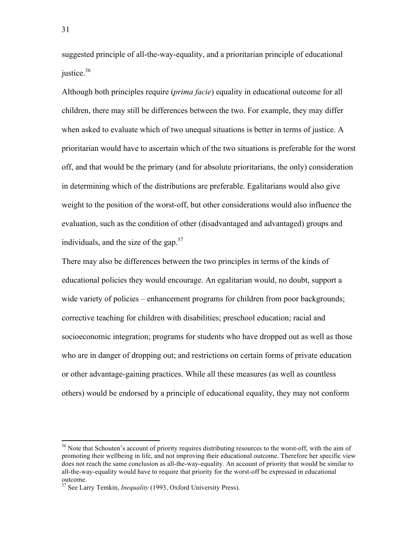suggested principle of all-the-way-equality, and a prioritarian principle of educational justice. 36

Although both principles require (*prima facie*) equality in educational outcome for all children, there may still be differences between the two. For example, they may differ when asked to evaluate which of two unequal situations is better in terms of justice. A prioritarian would have to ascertain which of the two situations is preferable for the worst off, and that would be the primary (and for absolute prioritarians, the only) consideration in determining which of the distributions are preferable. Egalitarians would also give weight to the position of the worst-off, but other considerations would also influence the evaluation, such as the condition of other (disadvantaged and advantaged) groups and individuals, and the size of the gap. $37$ 

There may also be differences between the two principles in terms of the kinds of educational policies they would encourage. An egalitarian would, no doubt, support a wide variety of policies – enhancement programs for children from poor backgrounds; corrective teaching for children with disabilities; preschool education; racial and socioeconomic integration; programs for students who have dropped out as well as those who are in danger of dropping out; and restrictions on certain forms of private education or other advantage-gaining practices. While all these measures (as well as countless others) would be endorsed by a principle of educational equality, they may not conform

<sup>&</sup>lt;sup>36</sup> Note that Schouten's account of priority requires distributing resources to the worst-off, with the aim of promoting their wellbeing in life, and not improving their educational outcome. Therefore her specific view does not reach the same conclusion as all-the-way-equality. An account of priority that would be similar to all-the-way-equality would have to require that priority for the worst-off be expressed in educational outcome.

<sup>37</sup> See Larry Temkin, *Inequality* (1993, Oxford University Press).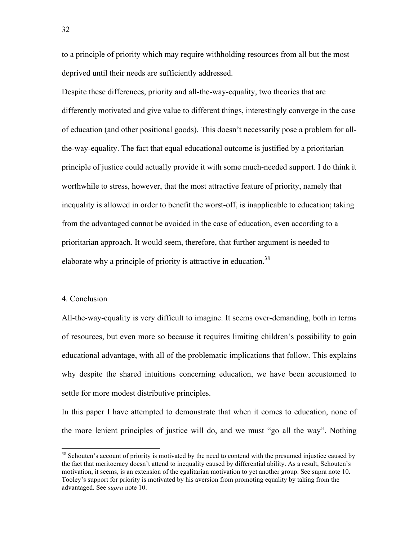to a principle of priority which may require withholding resources from all but the most deprived until their needs are sufficiently addressed.

Despite these differences, priority and all-the-way-equality, two theories that are differently motivated and give value to different things, interestingly converge in the case of education (and other positional goods). This doesn't necessarily pose a problem for allthe-way-equality. The fact that equal educational outcome is justified by a prioritarian principle of justice could actually provide it with some much-needed support. I do think it worthwhile to stress, however, that the most attractive feature of priority, namely that inequality is allowed in order to benefit the worst-off, is inapplicable to education; taking from the advantaged cannot be avoided in the case of education, even according to a prioritarian approach. It would seem, therefore, that further argument is needed to elaborate why a principle of priority is attractive in education.<sup>38</sup>

#### 4. Conclusion

<u> 1989 - Johann Stein, fransk politik (d. 1989)</u>

All-the-way-equality is very difficult to imagine. It seems over-demanding, both in terms of resources, but even more so because it requires limiting children's possibility to gain educational advantage, with all of the problematic implications that follow. This explains why despite the shared intuitions concerning education, we have been accustomed to settle for more modest distributive principles.

In this paper I have attempted to demonstrate that when it comes to education, none of the more lenient principles of justice will do, and we must "go all the way". Nothing

<sup>&</sup>lt;sup>38</sup> Schouten's account of priority is motivated by the need to contend with the presumed injustice caused by the fact that meritocracy doesn't attend to inequality caused by differential ability. As a result, Schouten's motivation, it seems, is an extension of the egalitarian motivation to yet another group. See supra note 10. Tooley's support for priority is motivated by his aversion from promoting equality by taking from the advantaged. See *supra* note 10.